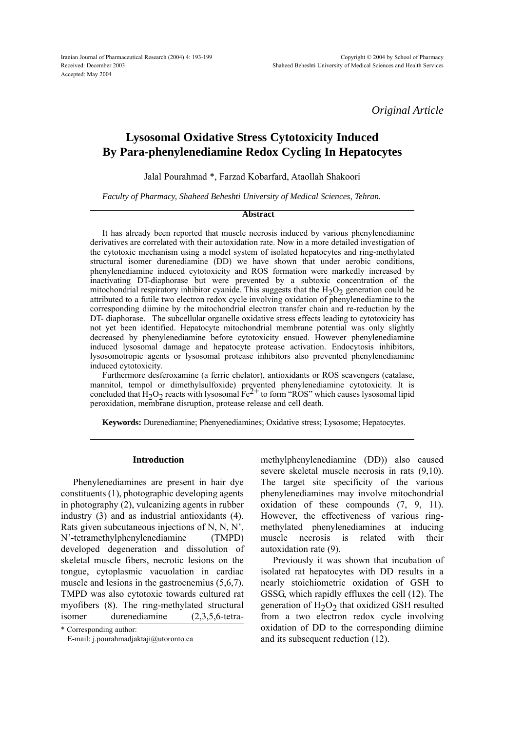Iranian Journal of Pharmaceutical Research (2004) 4: 193-199 Received: December 2003 Accepted: May 2004

*Original Article*

# **Lysosomal Oxidative Stress Cytotoxicity Induced By Para-phenylenediamine Redox Cycling In Hepatocytes**

Jalal Pourahmad \*, Farzad Kobarfard, Ataollah Shakoori

*Faculty of Pharmacy, Shaheed Beheshti University of Medical Sciences, Tehran.*

#### **Abstract**

It has already been reported that muscle necrosis induced by various phenylenediamine derivatives are correlated with their autoxidation rate. Now in a more detailed investigation of the cytotoxic mechanism using a model system of isolated hepatocytes and ring-methylated structural isomer durenediamine (DD) we have shown that under aerobic conditions, phenylenediamine induced cytotoxicity and ROS formation were markedly increased by inactivating DT-diaphorase but were prevented by a subtoxic concentration of the mitochondrial respiratory inhibitor cyanide. This suggests that the  $H_2O_2$  generation could be attributed to a futile two electron redox cycle involving oxidation of phenylenediamine to the corresponding diimine by the mitochondrial electron transfer chain and re-reduction by the DT- diaphorase. The subcellular organelle oxidative stress effects leading to cytotoxicity has not yet been identified. Hepatocyte mitochondrial membrane potential was only slightly decreased by phenylenediamine before cytotoxicity ensued. However phenylenediamine induced lysosomal damage and hepatocyte protease activation. Endocytosis inhibitors, lysosomotropic agents or lysosomal protease inhibitors also prevented phenylenediamine induced cytotoxicity.

Furthermore desferoxamine (a ferric chelator), antioxidants or ROS scavengers (catalase, mannitol, tempol or dimethylsulfoxide) prevented phenylenediamine cytotoxicity. It is concluded that  $H_2O_2$  reacts with lysosomal  $Fe^{2+}$  to form "ROS" which causes lysosomal lipid peroxidation, membrane disruption, protease release and cell death.

**Keywords:** Durenediamine; Phenyenediamines; Oxidative stress; Lysosome; Hepatocytes.

## **Introduction**

Phenylenediamines are present in hair dye constituents (1), photographic developing agents in photography (2), vulcanizing agents in rubber industry (3) and as industrial antioxidants (4). Rats given subcutaneous injections of  $N$ ,  $N$ ,  $N'$ , N'-tetramethylphenylenediamine (TMPD) developed degeneration and dissolution of skeletal muscle fibers, necrotic lesions on the tongue, cytoplasmic vacuolation in cardiac muscle and lesions in the gastrocnemius (5,6,7). TMPD was also cytotoxic towards cultured rat myofibers (8). The ring-methylated structural isomer durenediamine (2,3,5,6-tetra-

\* Corresponding author:

E-mail: j.pourahmadjaktaji@utoronto.ca

methylphenylenediamine (DD)) also caused severe skeletal muscle necrosis in rats (9,10). The target site specificity of the various phenylenediamines may involve mitochondrial oxidation of these compounds (7, 9, 11). However, the effectiveness of various ringmethylated phenylenediamines at inducing muscle necrosis is related with their autoxidation rate (9).

Previously it was shown that incubation of isolated rat hepatocytes with DD results in a nearly stoichiometric oxidation of GSH to GSSG, which rapidly effluxes the cell (12). The generation of  $H_2O_2$  that oxidized GSH resulted from a two electron redox cycle involving oxidation of DD to the corresponding diimine and its subsequent reduction (12).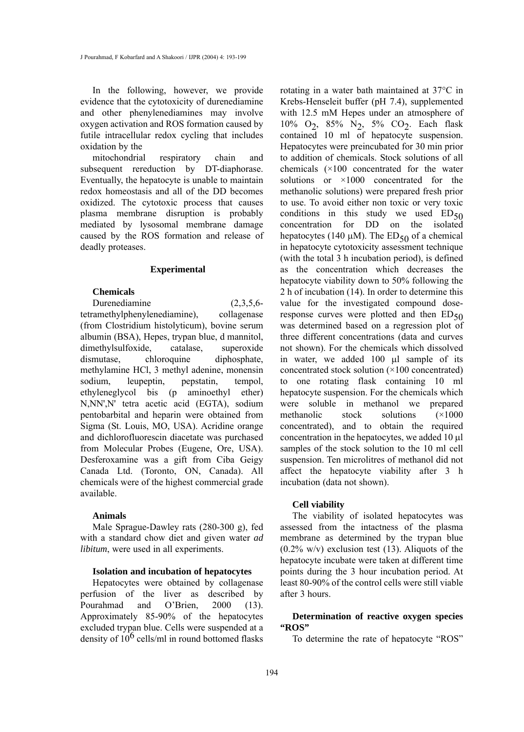In the following, however, we provide evidence that the cytotoxicity of durenediamine and other phenylenediamines may involve oxygen activation and ROS formation caused by futile intracellular redox cycling that includes oxidation by the

mitochondrial respiratory chain and subsequent rereduction by DT-diaphorase. Eventually, the hepatocyte is unable to maintain redox homeostasis and all of the DD becomes oxidized. The cytotoxic process that causes plasma membrane disruption is probably mediated by lysosomal membrane damage caused by the ROS formation and release of deadly proteases.

#### **Experimental**

## **Chemicals**

Durenediamine (2,3,5,6-

tetramethylphenylenediamine), collagenase (from Clostridium histolyticum), bovine serum albumin (BSA), Hepes, trypan blue, d mannitol, dimethylsulfoxide, catalase, superoxide dismutase, chloroquine diphosphate, methylamine HCl, 3 methyl adenine, monensin sodium, leupeptin, pepstatin, tempol, ethyleneglycol bis (p aminoethyl ether) N,NN',N' tetra acetic acid (EGTA), sodium pentobarbital and heparin were obtained from Sigma (St. Louis, MO, USA). Acridine orange and dichlorofluorescin diacetate was purchased from Molecular Probes (Eugene, Ore, USA). Desferoxamine was a gift from Ciba Geigy Canada Ltd. (Toronto, ON, Canada). All chemicals were of the highest commercial grade available.

### **Animals**

Male Sprague-Dawley rats (280-300 g), fed with a standard chow diet and given water *ad libitum*, were used in all experiments.

## **Isolation and incubation of hepatocytes**

Hepatocytes were obtained by collagenase perfusion of the liver as described by Pourahmad and O'Brien, 2000 (13). Approximately 85-90% of the hepatocytes excluded trypan blue. Cells were suspended at a density of  $10^6$  cells/ml in round bottomed flasks

rotating in a water bath maintained at 37°C in Krebs-Henseleit buffer (pH 7.4), supplemented with 12.5 mM Hepes under an atmosphere of 10% O<sub>2</sub>, 85% N<sub>2</sub>, 5% CO<sub>2</sub>. Each flask contained 10 ml of hepatocyte suspension. Hepatocytes were preincubated for 30 min prior to addition of chemicals. Stock solutions of all chemicals (×100 concentrated for the water solutions or ×1000 concentrated for the methanolic solutions) were prepared fresh prior to use. To avoid either non toxic or very toxic conditions in this study we used  $ED_{50}$ concentration for DD on the isolated hepatocytes (140  $\mu$ M). The ED<sub>50</sub> of a chemical in hepatocyte cytotoxicity assessment technique (with the total 3 h incubation period), is defined as the concentration which decreases the hepatocyte viability down to 50% following the 2 h of incubation (14). In order to determine this value for the investigated compound doseresponse curves were plotted and then  $ED_{50}$ was determined based on a regression plot of three different concentrations (data and curves not shown). For the chemicals which dissolved in water, we added  $100 \mu l$  sample of its concentrated stock solution (×100 concentrated) to one rotating flask containing 10 ml hepatocyte suspension. For the chemicals which were soluble in methanol we prepared methanolic stock solutions (×1000 concentrated), and to obtain the required concentration in the hepatocytes, we added  $10 \mu l$ samples of the stock solution to the 10 ml cell suspension. Ten microlitres of methanol did not affect the hepatocyte viability after 3 h incubation (data not shown).

#### **Cell viability**

The viability of isolated hepatocytes was assessed from the intactness of the plasma membrane as determined by the trypan blue  $(0.2\%$  w/v) exclusion test (13). Aliquots of the hepatocyte incubate were taken at different time points during the 3 hour incubation period. At least 80-90% of the control cells were still viable after 3 hours.

## **Determination of reactive oxygen species "ROS"**

To determine the rate of hepatocyte "ROS"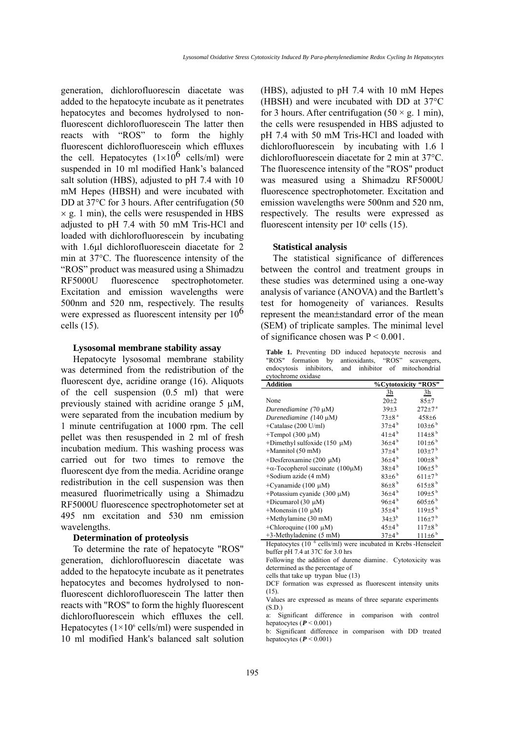generation, dichlorofluorescin diacetate was added to the hepatocyte incubate as it penetrates hepatocytes and becomes hydrolysed to nonfluorescent dichlorofluorescein The latter then reacts with "ROS" to form the highly fluorescent dichlorofluorescein which effluxes the cell. Hepatocytes  $(1\times10^6 \text{ cells/ml})$  were suspended in 10 ml modified Hank's balanced salt solution (HBS), adjusted to pH 7.4 with 10 mM Hepes (HBSH) and were incubated with DD at 37<sup>o</sup>C for 3 hours. After centrifugation (50  $\times$  g. 1 min), the cells were resuspended in HBS adjusted to pH 7.4 with 50 mM Tris-HCl and loaded with dichlorofluorescein by incubating with 1.6µl dichlorofluorescein diacetate for 2 min at 37°C. The fluorescence intensity of the ìROSî product was measured using a Shimadzu RF5000U fluorescence spectrophotometer. Excitation and emission wavelengths were 500nm and 520 nm, respectively. The results were expressed as fluorescent intensity per  $10<sup>6</sup>$ cells (15).

#### **Lysosomal membrane stability assay**

Hepatocyte lysosomal membrane stability was determined from the redistribution of the fluorescent dye, acridine orange (16). Aliquots of the cell suspension (0.5 ml) that were previously stained with acridine orange  $5 \mu M$ , were separated from the incubation medium by 1 minute centrifugation at 1000 rpm. The cell pellet was then resuspended in 2 ml of fresh incubation medium. This washing process was carried out for two times to remove the fluorescent dye from the media. Acridine orange redistribution in the cell suspension was then measured fluorimetrically using a Shimadzu RF5000U fluorescence spectrophotometer set at 495 nm excitation and 530 nm emission wavelengths.

#### **Determination of proteolysis**

To determine the rate of hepatocyte "ROS" generation, dichlorofluorescin diacetate was added to the hepatocyte incubate as it penetrates hepatocytes and becomes hydrolysed to nonfluorescent dichlorofluorescein The latter then reacts with "ROS" to form the highly fluorescent dichlorofluorescein which effluxes the cell. Hepatocytes ( $1\times10^6$  cells/ml) were suspended in 10 ml modified Hank's balanced salt solution (HBS), adjusted to pH 7.4 with 10 mM Hepes (HBSH) and were incubated with DD at 37°C for 3 hours. After centrifugation  $(50 \times g. 1 \text{ min})$ , the cells were resuspended in HBS adjusted to pH 7.4 with 50 mM Tris-HCl and loaded with dichlorofluorescein by incubating with 1.6 l dichlorofluorescein diacetate for 2 min at 37°C. The fluorescence intensity of the "ROS" product was measured using a Shimadzu RF5000U fluorescence spectrophotometer. Excitation and emission wavelengths were 500nm and 520 nm, respectively. The results were expressed as fluorescent intensity per  $10<sup>6</sup>$  cells (15).

#### **Statistical analysis**

The statistical significance of differences between the control and treatment groups in these studies was determined using a one-way analysis of variance (ANOVA) and the Bartlett's test for homogeneity of variances. Results represent the mean±standard error of the mean (SEM) of triplicate samples. The minimal level of significance chosen was  $P \le 0.001$ .

**Table 1.** Preventing DD induced hepatocyte necrosis and "ROS" formation by antioxidants, "ROS" scavengers, endocytosis inhibitors, and inhibitor of mitochondrial

| cytochrome oxidase                      |                       |                        |  |  |
|-----------------------------------------|-----------------------|------------------------|--|--|
| <b>Addition</b>                         |                       | %Cytotoxicity "ROS"    |  |  |
|                                         | 3h                    | 3h                     |  |  |
| None                                    | $20 + 2$              | $85 + 7$               |  |  |
| Durenediamine $(70 \mu M)$              | $39 + 3$              | $272 \pm 7^{\text{a}}$ |  |  |
| Durenediamine $(140 \mu M)$             | $73 \pm 8^{\text{a}}$ | $458 + 6$              |  |  |
| +Catalase (200 U/ml)                    | $37\pm4^{b}$          | $103\pm6^{b}$          |  |  |
| $+$ Tempol (300 µM)                     | $41\pm4^{b}$          | $114\pm8^{b}$          |  |  |
| +Dimethyl sulfoxide (150 $\mu$ M)       | $36\pm4$ <sup>b</sup> | $101\pm6^{b}$          |  |  |
| $+$ Mannitol (50 mM)                    | $37\pm4^b$            | $103 \pm 7^{b}$        |  |  |
| +Desferoxamine (200 $\mu$ M)            | $36\pm4^{b}$          | $100\pm8^{b}$          |  |  |
| $+\alpha$ -Tocopherol succinate (100µM) | $38+4^{b}$            | $106\pm5^{b}$          |  |  |
| $+$ Sodium azide (4 mM)                 | $83\pm6^{b}$          | $611 \pm 7^{b}$        |  |  |
| +Cyanamide (100 $\mu$ M)                | $86\pm8$ <sup>b</sup> | $615\pm8^{b}$          |  |  |
| +Potassium cyanide $(300 \mu M)$        | $36\pm4^{b}$          | $109 \pm 5^{b}$        |  |  |
| +Dicumarol (30 $\mu$ M)                 | $96\pm4^{b}$          | $605\pm6^{b}$          |  |  |
| +Monensin (10 $\mu$ M)                  | $35\pm4^b$            | $119\pm5^{b}$          |  |  |
| +Methylamine (30 mM)                    | $34\pm3^{b}$          | $116 \pm 7^{b}$        |  |  |
| +Chloroquine (100 $\mu$ M)              | $45\pm4^b$            | $117\pm8$ <sup>b</sup> |  |  |
| $+3$ -Methyladenine (5 mM)              | $37+4^{b}$            | $111 \pm 6^{b}$        |  |  |

Hepatocytes (10<sup>6</sup> cells/ml) were incubated in Krebs -Henseleit buffer pH 7.4 at 37C for 3.0 hrs

Following the addition of durene diamine. Cytotoxicity was determined as the percentage of

cells that take up trypan blue (13) DCF formation was expressed as fluorescent intensity units  $(15)$ .

Values are expressed as means of three separate experiments (S.D.)

a: Significant difference in comparison with control hepatocytes ( $P < 0.001$ )

b: Significant difference in comparison with DD treated hepatocytes (*P* < 0.001)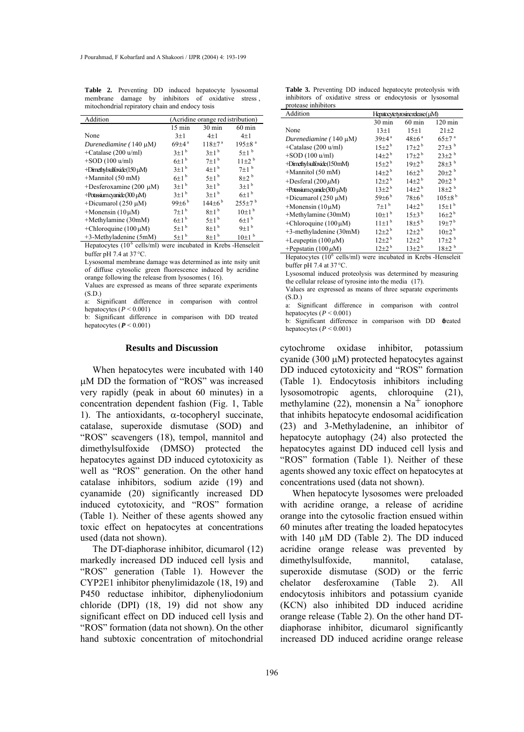**Table 2.** Preventing DD induced hepatocyte lysosomal membrane damage by inhibitors of oxidative stress , mitochondrial repiratory chain and endocy tosis

| Addition                       | (Acridine orange red istribution) |                      |                          |  |
|--------------------------------|-----------------------------------|----------------------|--------------------------|--|
|                                | $15 \text{ min}$                  | $30 \text{ min}$     | $60 \text{ min}$         |  |
| None                           | $3+1$                             | $4 + 1$              | $4 + 1$                  |  |
| Durenediamine $(140 \mu M)$    | $69+4^{\mathrm{a}}$               | $118 + 7^a$          | $195 \pm 8$ <sup>a</sup> |  |
| +Catalase (200 u/ml)           | $3\pm1$ <sup>b</sup>              | $3+1^{b}$            | $5+1$ <sup>b</sup>       |  |
| $+SOD(100 u/ml)$               | $6\pm1$ <sup>b</sup>              | $7+1$ <sup>b</sup>   | $11+2^{b}$               |  |
| +Dimethyl sulfoxide (150 µM)   | $3\pm1$ <sup>b</sup>              | $4+1^{b}$            | $7+1$ <sup>b</sup>       |  |
| $+$ Mannitol (50 mM)           | $6\pm1$ <sup>b</sup>              | $5+1^{b}$            | $8+2^{b}$                |  |
| +Desferoxamine (200 µM)        | $3\pm1$ <sup>b</sup>              | $3+1^{b}$            | $3+1^{b}$                |  |
| $+$ Potassium cyanide (300 µM) | $3+1^{b}$                         | $3+1^{b}$            | $6+1^{b}$                |  |
| +Dicumarol (250 $\mu$ M)       | 99 $\pm 6^{\rm b}$                | $144+6^{\mathrm{b}}$ | $255 \pm 7^{b}$          |  |
| $+$ Monensin (10 $\mu$ M)      | $7+1^{b}$                         | $8+1^{b}$            | $10+1$ <sup>b</sup>      |  |
| +Methylamine (30mM)            | $6\pm1$ <sup>b</sup>              | $5+1^{b}$            | $6+1^{b}$                |  |
| +Chloroquine $(100 \mu M)$     | $5\pm1$ <sup>b</sup>              | $8\pm1$ <sup>b</sup> | $9+1^{b}$                |  |
| $+3$ -Methyladenine (5mM)      | $5\pm1$ <sup>b</sup>              | $8+1^{b}$            | $10\pm1$ <sup>b</sup>    |  |

Hepatocytes (10<sup>6</sup> cells/ml) were incubated in Krebs -Henseleit buffer pH 7.4 at 37 °C.

Lysosomal membrane damage was determined as inte nsity unit of diffuse cytosolic green fluorescence induced by acridine orange following the release from lysosomes ( 16).

Values are expressed as means of three separate experiments (S.D.)

a: Significant difference in comparison with control hepatocytes ( $P < 0.001$ )

b: Significant difference in comparison with DD treated hepatocytes ( $P \le 0.001$ )

#### **Results and Discussion**

When hepatocytes were incubated with 140  $\mu$ M DD the formation of "ROS" was increased very rapidly (peak in about 60 minutes) in a concentration dependent fashion (Fig. 1, Table 1). The antioxidants,  $\alpha$ -tocopheryl succinate, catalase, superoxide dismutase (SOD) and ìROSî scavengers (18), tempol, mannitol and dimethylsulfoxide (DMSO) protected the hepatocytes against DD induced cytotoxicity as well as "ROS" generation. On the other hand catalase inhibitors, sodium azide (19) and cyanamide (20) significantly increased DD induced cytotoxicity, and "ROS" formation (Table 1). Neither of these agents showed any toxic effect on hepatocytes at concentrations used (data not shown).

The DT-diaphorase inhibitor, dicumarol (12) markedly increased DD induced cell lysis and "ROS" generation (Table 1). However the CYP2E1 inhibitor phenylimidazole (18, 19) and P450 reductase inhibitor, diphenyliodonium chloride (DPI) (18, 19) did not show any significant effect on DD induced cell lysis and "ROS" formation (data not shown). On the other hand subtoxic concentration of mitochondrial

196

|                     |  | <b>Table 3.</b> Preventing DD induced hepatocyte proteolysis with |  |
|---------------------|--|-------------------------------------------------------------------|--|
|                     |  | inhibitors of oxidative stress or endocytosis or lysosomal        |  |
| protease inhibitors |  |                                                                   |  |

| Addition                                            | Hepatocytetyrosinerelease (µM) |                       |                         |  |  |
|-----------------------------------------------------|--------------------------------|-----------------------|-------------------------|--|--|
|                                                     | 30 min                         | $60$ min              | $120 \text{ min}$       |  |  |
| None                                                | $13\pm1$                       | $15\pm1$              | $21 + 2$                |  |  |
| Durenediamine $(140 \mu M)$                         | $39 + 4^{a}$                   | $48 + 6^{a}$          | $65 \pm 7$ <sup>a</sup> |  |  |
| +Catalase $(200 \text{ u/ml})$                      | $15+2^b$                       | $17+2^b$              | $27\pm3$ <sup>b</sup>   |  |  |
| $+$ SOD (100 u/ml)                                  | $14\pm2^{b}$                   | $17+2^b$              | $23\pm2^{b}$            |  |  |
| +Dimethylsulfoxide(150mM)                           | $15\pm2^{b}$                   | $19+2^{b}$            | $28\pm3^{b}$            |  |  |
| +Mannitol (50 mM)                                   | $14\pm2^{b}$                   | $16\pm2^{b}$          | $20\pm2^{b}$            |  |  |
| +Desferal $(200 \,\mu\text{M})$                     | $12+2^{\mathrm{b}}$            | $14+2^{b}$            | $20\pm2^{b}$            |  |  |
| +Potassium cyanide (300 µM)                         | $13\pm2^b$                     | $14+2^{b}$            | $18+2^{b}$              |  |  |
| +Dicumarol (250 $\mu$ M)                            | $59\pm6$ <sup>b</sup>          | $78\pm6^{b}$          | $105\pm8^{\mathrm{b}}$  |  |  |
| +Monensin $(10 \mu M)$                              | $7\pm1$ <sup>b</sup>           | $14\pm2^{b}$          | 15±1 <sup>b</sup>       |  |  |
| +Methylamine (30mM)                                 | $10\pm1$ <sup>b</sup>          | $15\pm3$ <sup>b</sup> | $16\pm2^{b}$            |  |  |
| +Chloroquine $(100 \mu M)$                          | $11\pm1$ <sup>b</sup>          | $18\pm5^{b}$          | $19+7^{\rm b}$          |  |  |
| +3-methyladenine (30mM)                             | $12+2^b$                       | $12+2^b$              | $10+2^{b}$              |  |  |
| +Leupeptin $(100 \,\mu\text{M})$                    | $12 + 2^{b}$                   | $12\pm2^{b}$          | $17+2$ <sup>b</sup>     |  |  |
| +Pepstatin (100 $\mu$ M)                            | $12\pm2^{b}$                   | $13+2^{b}$            | $18+2^{b}$              |  |  |
| 11 <i>i 1</i> 06 11 / 1<br>$\pm$ 1.11.171.<br>TT 1. |                                |                       |                         |  |  |

Hepatocytes  $(10^6 \text{ cells/ml})$  were incubated in Krebs -Henseleit buffer pH 7.4 at 37 °C.

Lysosomal induced proteolysis was determined by measuring the cellular release of tyrosine into the media (17).

Values are expressed as means of three separate experiments (S.D.)

a: Significant difference in comparison with control hepatocytes ( $P < 0.001$ )

b: Significant difference in comparison with DD **ö**reated hepatocytes ( $P < 0.001$ )

cytochrome oxidase inhibitor, potassium cyanide (300  $\mu$ M) protected hepatocytes against DD induced cytotoxicity and "ROS" formation (Table 1). Endocytosis inhibitors including lysosomotropic agents, chloroquine (21), methylamine (22), monensin a  $Na<sup>+</sup>$  ionophore that inhibits hepatocyte endosomal acidification (23) and 3-Methyladenine, an inhibitor of hepatocyte autophagy (24) also protected the hepatocytes against DD induced cell lysis and "ROS" formation (Table 1). Neither of these agents showed any toxic effect on hepatocytes at concentrations used (data not shown).

When hepatocyte lysosomes were preloaded with acridine orange, a release of acridine orange into the cytosolic fraction ensued within 60 minutes after treating the loaded hepatocytes with  $140 \mu M$  DD (Table 2). The DD induced acridine orange release was prevented by dimethylsulfoxide, mannitol, catalase, superoxide dismutase (SOD) or the ferric chelator desferoxamine (Table 2). All endocytosis inhibitors and potassium cyanide (KCN) also inhibited DD induced acridine orange release (Table 2). On the other hand DTdiaphorase inhibitor, dicumarol significantly increased DD induced acridine orange release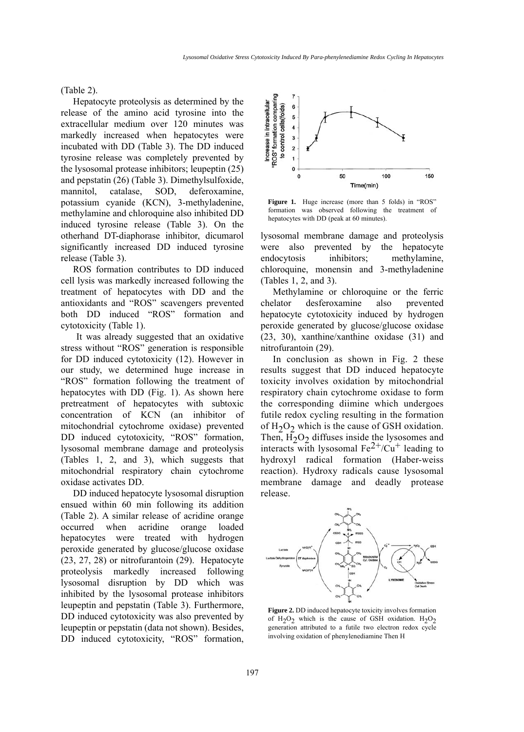(Table 2).

Hepatocyte proteolysis as determined by the release of the amino acid tyrosine into the extracellular medium over 120 minutes was markedly increased when hepatocytes were incubated with DD (Table 3). The DD induced tyrosine release was completely prevented by the lysosomal protease inhibitors; leupeptin (25) and pepstatin (26) (Table 3). Dimethylsulfoxide, mannitol, catalase, SOD, deferoxamine, potassium cyanide (KCN), 3-methyladenine, methylamine and chloroquine also inhibited DD induced tyrosine release (Table 3). On the otherhand DT-diaphorase inhibitor, dicumarol significantly increased DD induced tyrosine release (Table 3).

ROS formation contributes to DD induced cell lysis was markedly increased following the treatment of hepatocytes with DD and the antioxidants and "ROS" scavengers prevented both DD induced "ROS" formation and cytotoxicity (Table 1).

It was already suggested that an oxidative stress without "ROS" generation is responsible for DD induced cytotoxicity (12). However in our study, we determined huge increase in "ROS" formation following the treatment of hepatocytes with DD (Fig. 1). As shown here pretreatment of hepatocytes with subtoxic concentration of KCN (an inhibitor of mitochondrial cytochrome oxidase) prevented DD induced cytotoxicity, "ROS" formation, lysosomal membrane damage and proteolysis (Tables 1, 2, and 3), which suggests that mitochondrial respiratory chain cytochrome oxidase activates DD.

DD induced hepatocyte lysosomal disruption ensued within 60 min following its addition (Table 2). A similar release of acridine orange occurred when acridine orange loaded hepatocytes were treated with hydrogen peroxide generated by glucose/glucose oxidase (23, 27, 28) or nitrofurantoin (29). Hepatocyte proteolysis markedly increased following lysosomal disruption by DD which was inhibited by the lysosomal protease inhibitors leupeptin and pepstatin (Table 3). Furthermore, DD induced cytotoxicity was also prevented by leupeptin or pepstatin (data not shown). Besides, DD induced cytotoxicity, "ROS" formation,



Figure 1. Huge increase (more than 5 folds) in "ROS" formation was observed following the treatment of hepatocytes with DD (peak at 60 minutes).

lysosomal membrane damage and proteolysis were also prevented by the hepatocyte endocytosis inhibitors; methylamine, chloroquine, monensin and 3-methyladenine (Tables 1, 2, and 3).

Methylamine or chloroquine or the ferric chelator desferoxamine also prevented hepatocyte cytotoxicity induced by hydrogen peroxide generated by glucose/glucose oxidase (23, 30), xanthine/xanthine oxidase (31) and nitrofurantoin (29).

In conclusion as shown in Fig. 2 these results suggest that DD induced hepatocyte toxicity involves oxidation by mitochondrial respiratory chain cytochrome oxidase to form the corresponding diimine which undergoes futile redox cycling resulting in the formation of  $H_2O_2$  which is the cause of GSH oxidation. Then,  $\overline{H_2O_2}$  diffuses inside the lysosomes and interacts with lysosomal  $Fe^{2+}/Cu^{+}$  leading to hydroxyl radical formation (Haber-weiss reaction). Hydroxy radicals cause lysosomal membrane damage and deadly protease release.



**Figure 2.** DD induced hepatocyte toxicity involves formation of H<sub>2</sub>O<sub>2</sub> which is the cause of GSH oxidation. H<sub>2</sub>O<sub>2</sub> generation attributed to a futile two electron redox cycle involving oxidation of phenylenediamine Then H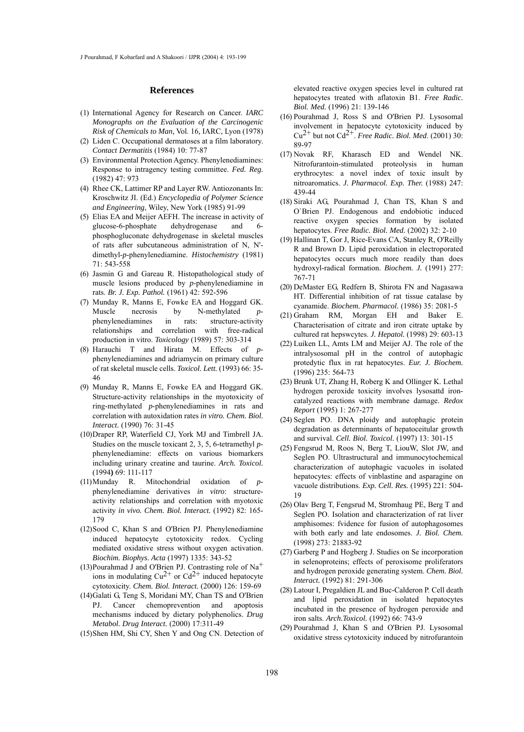#### **References**

- International Agency for Research on Cancer. *IARC* (1) *Monographs on the Evaluation of the Carcinogenic Risk of Chemicals to Man,* Vol. 16*,* IARC, Lyon (1978)
- (2) Liden C. Occupational dermatoses at a film laboratory. *Contact Dermatitis* (1984) 10: 77-87
- (3) Environmental Protection Agency. Phenylenediamines: Response to intragency testing committee. *Fed. Reg.* (1982) 47: 973
- (4) Rhee CK, Lattimer RP and Layer RW. Antiozonants In: Kroschwitz JI. (Ed.) *Encyclopedia of Polymer Science and Engineering*, Wiley, New York (1985) 91-99
- (5) Elias EA and Meijer AEFH. The increase in activity of glucose-6-phosphate dehydrogenase and 6 phosphogluconate dehydrogenase in skeletal muscles of rats after subcutaneous administration of N, N' dimethyl-*p*-phenylenediamine. *Histochemistry* (1981) 71: 543-558
- (6) Jasmin G and Gareau R. Histopathological study of muscle lesions produced by *p*-phenylenediamine in rats. *Br. J. Exp. Pathol.* (1961) 42: 592-596
- (7) Munday R, Manns E, Fowke EA and Hoggard GK. Muscle necrosis by N-methylated phenylenediamines in rats: structure-activity relationships and correlation with free-radical production in vitro. *Toxicology* (1989) 57: 303-314
- Harauchi T and Hirata M. Effects of *p*-(8) phenylenediamines and adriamycin on primary culture of rat skeletal muscle cells. *Toxicol. Lett.* (1993) 66: 35- 46
- (9) Munday R, Manns E, Fowke EA and Hoggard GK. Structure-activity relationships in the myotoxicity of ring-methylated *p*-phenylenediamines in rats and correlation with autoxidation rates *in vitro. Chem. Biol. Interact.* (1990) 76: 31-45
- (10) Draper RP, Waterfield CJ, York MJ and Timbrell JA. Studies on the muscle toxicant 2, 3, 5, 6-tetramethyl *p*phenylenediamine: effects on various biomarkers including urinary creatine and taurine. *Arch. Toxicol.* (1994**)** 69: 111-117
- Munday R. Mitochondrial oxidation of *p*-(11) phenylenediamine derivatives *in vitro*: structureactivity relationships and correlation with myotoxic activity *in vivo. Chem. Biol. Interact.* (1992) 82: 165- 179
- (12) Sood C, Khan S and O'Brien PJ. Phenylenediamine induced hepatocyte cytotoxicity redox. Cycling mediated oxidative stress without oxygen activation. *Biochim. Biophys. Acta* (1997) 1335: 343-52
- (13) Pourahmad J and O'Brien PJ. Contrasting role of Na<sup>+</sup> ions in modulating  $Cu^{2+}$  or  $Cd^{2+}$  induced hepatocyte cytotoxicity. *Chem. Biol. Interact.* (2000) 126: 159-69
- (14) Galati G, Teng S, Moridani MY, Chan TS and O'Brien PJ. Cancer chemoprevention and apoptosis mechanisms induced by dietary polyphenolics. *Drug Metabol. Drug Interact.* (2000) 17:311-49
- (15) Shen HM, Shi CY, Shen Y and Ong CN. Detection of

elevated reactive oxygen species level in cultured rat hepatocytes treated with aflatoxin B1. *Free Radic. Biol. Med.* (1996) 21: 139-146

- (16) Pourahmad J, Ross S and O'Brien PJ. Lysosomal involvement in hepatocyte cytotoxicity induced by  $Cu^{2+}$  but not  $Cd^{2+}$ . *Free Radic. Biol. Med.* (2001) 30: 89-97
- (17) Novak RF, Kharasch ED and Wendel NK. Nitrofurantoin-stimulated proteolysis in human erythrocytes: a novel index of toxic insult by nitroaromatics. *J. Pharmacol. Exp. Ther.* (1988) 247: 439-44
- (18) Siraki AG, Pourahmad J, Chan TS, Khan S and O`Brien PJ. Endogenous and endobiotic induced reactive oxygen species formation by isolated hepatocytes. *Free Radic. Biol. Med.* (2002) 32: 2-10
- (19) Hallinan T, Gor J, Rice-Evans CA, Stanley R, O'Reilly R and Brown D. Lipid peroxidation in electroporated hepatocytes occurs much more readily than does hydroxyl-radical formation. *Biochem. J.* (1991) 277: 767-71
- (20) DeMaster EG, Redfern B, Shirota FN and Nagasawa HT. Differential inhibition of rat tissue catalase by cyanamide. *Biochem. Pharmacol.* (1986) 35: 2081-5
- (21) Graham RM, Morgan EH and Baker E. Characterisation of citrate and iron citrate uptake by cultured rat hepswcytes. *J. Hepatol.* (1998) 29: 603-13
- (22) Luiken LL, Amts LM and Meijer AJ. The role of the intralysosomal pH in the control of autophagic protedytic flux in rat hepatocytes. *Eur. J. Biochem.* (1996) 235: 564-73
- (23) Brunk UT, Zhang H, Roberg K and Ollinger K. Lethal hydrogen peroxide toxicity involves lysosattd ironcatalyzed reactions with membrane damage. *Redox Report* (1995) 1: 267-277
- (24) Seglen PO. DNA ploidy and autophagic protein degradation as determinants of hepatoceitular growth and survival. *Cell. Biol. Toxicol.* (1997) 13: 301-15
- Fengsrud M, Roos N, Berg T, LiouW, Slot JW, and (25) Seglen PO. Ultrastructural and immunocytochemical characterization of autophagic vacuoles in isolated hepatocytes: effects of vinblastine and asparagine on vacuole distributions. *Exp. Cell. Res.* (1995) 221: 504- 19
- (26) Olav Berg T, Fengsrud M, Stromhaug PE, Berg T and Seglen PO. Isolation and characterization of rat liver amphisomes: fvidence for fusion of autophagosomes with both early and late endosomes. *J. Biol. Chem.* (1998) 273: 21883-92
- (27) Garberg P and Hogberg J. Studies on Se incorporation in selenoproteins; effects of peroxisome proliferators and hydrogen peroxide generating system. *Chem. Biol. Interact.* (1992) 81: 291-306
- Latour I, Pregaldien JL and Buc-Calderon P. Cell death (28) and lipid peroxidation in isolated hepatocytes incubated in the presence of hydrogen peroxide and iron salts. *Arch.Toxicol.* (1992) 66: 743-9
- (29) Pourahmad J, Khan S and O'Brien PJ. Lysosomal oxidative stress cytotoxicity induced by nitrofurantoin